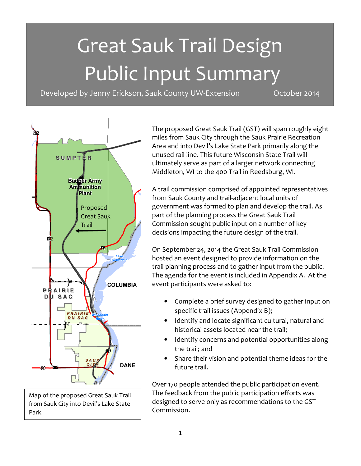# Great Sauk Trail Design Public Input Summary

Developed by Jenny Erickson, Sauk County UW-Extension Cotober 2014



Map of the proposed Great Sauk Trail from Sauk City into Devil's Lake State Park.

The proposed Great Sauk Trail (GST) will span roughly eight miles from Sauk City through the Sauk Prairie Recreation Area and into Devil's Lake State Park primarily along the unused rail line. This future Wisconsin State Trail will ultimately serve as part of a larger network connecting Middleton, WI to the 400 Trail in Reedsburg, WI.

A trail commission comprised of appointed representatives from Sauk County and trail‐adjacent local units of government was formed to plan and develop the trail. As part of the planning process the Great Sauk Trail Commission sought public input on a number of key decisions impacting the future design of the trail.

On September 24, 2014 the Great Sauk Trail Commission hosted an event designed to provide information on the trail planning process and to gather input from the public. The agenda for the event is included in Appendix A. At the event participants were asked to:

- Complete a brief survey designed to gather input on specific trail issues (Appendix B);
- Identify and locate significant cultural, natural and historical assets located near the trail;
- Identify concerns and potential opportunities along the trail; and
- Share their vision and potential theme ideas for the future trail.

 The feedback from the public participation efforts was Over 170 people attended the public participation event. designed to serve only as recommendations to the GST Commission.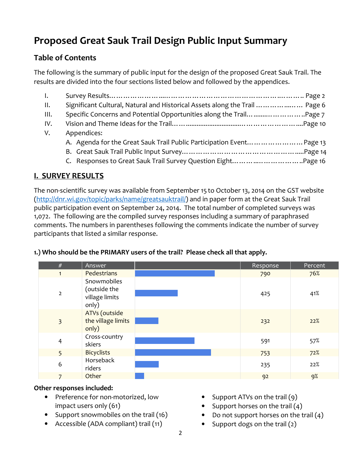# Proposed Great Sauk Trail Design Public Input Summary

# Table of Contents

The following is the summary of public input for the design of the proposed Great Sauk Trail. The results are divided into the four sections listed below and followed by the appendices.

| $\mathbf{I}$ .   |                                                                             |
|------------------|-----------------------------------------------------------------------------|
| II.              | Significant Cultural, Natural and Historical Assets along the Trail  Page 6 |
| $\mathbf{III}$ . | Specific Concerns and Potential Opportunities along the Trail Page 7        |
| IV.              |                                                                             |
| V.               | Appendices:                                                                 |
|                  | A. Agenda for the Great Sauk Trail Public Participation Event Page 13       |
|                  |                                                                             |
|                  |                                                                             |
|                  |                                                                             |

# I. SURVEY RESULTS

The non-scientific survey was available from September 15 to October 13, 2014 on the GST website (http://dnr.wi.gov/topic/parks/name/greatsauktrail/) and in paper form at the Great Sauk Trail public participation event on September 24, 2014. The total number of completed surveys was 1,072. The following are the compiled survey responses including a summary of paraphrased comments. The numbers in parentheses following the comments indicate the number of survey participants that listed a similar response.

| #              | Answer                                                 | Response | Percent |
|----------------|--------------------------------------------------------|----------|---------|
| $\mathbf{1}$   | Pedestrians                                            | 790      | 76%     |
| $\overline{2}$ | Snowmobiles<br>(outside the<br>village limits<br>only) | 425      | 41%     |
| $\overline{3}$ | ATVs (outside<br>the village limits<br>only)           | 232      | 22%     |
| $\overline{4}$ | Cross-country<br>skiers                                | 591      | 57%     |
| 5              | <b>Bicyclists</b>                                      | 753      | 72%     |
| 6              | Horseback<br>riders                                    | 235      | 22%     |
|                | Other                                                  | 92       | 9%      |

# 1.) Who should be the PRIMARY users of the trail? Please check all that apply.

#### Other responses included:

- Preference for non-motorized, low impact users only (61)
- Support snowmobiles on the trail (16)
- Accessible (ADA compliant) trail (11)
- Support ATVs on the trail (9)
- Support horses on the trail  $(4)$
- Do not support horses on the trail  $(4)$
- Support dogs on the trail  $(2)$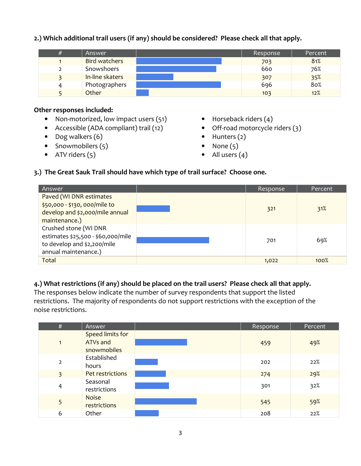#### 2.) Which additional trail users (if any) should be considered? Please check all that apply.

| Answer          | Response | Percent |
|-----------------|----------|---------|
| Bird watchers   | 703      | 81%     |
| Snowshoers      | 660      | 76%     |
| In-line skaters | 307      | 35%     |
| Photographers   | 696      | 80%     |
| Other           | 103      | 12%     |

#### Other responses included:

- Non-motorized, low impact users (51)
- Accessible (ADA compliant) trail (12)
- Dog walkers (6)
- Snowmobilers (5)
- ATV riders  $(5)$
- Horseback riders (4)
- Off-road motorcycle riders (3)
- Hunters (2)
- None  $(5)$
- All users  $(4)$

#### 3.) The Great Sauk Trail should have which type of trail surface? Choose one.

| Answer                                                                                                             | Response | Percent |
|--------------------------------------------------------------------------------------------------------------------|----------|---------|
| Paved (WI DNR estimates<br>\$50,000 - \$130, 000/mile to<br>develop and \$2,000/mile annual<br>maintenance.)       | 321      | 31%     |
| Crushed stone (WI DNR<br>estimates \$25,500 - \$60,000/mile<br>to develop and \$2,200/mile<br>annual maintenance.) | 701      | 69%     |
| Total                                                                                                              | 1,022    | 100%    |

#### 4.) What restrictions (if any) should be placed on the trail users? Please check all that apply.

The responses below indicate the number of survey respondents that support the listed restrictions. The majority of respondents do not support restrictions with the exception of the noise restrictions.

| #              | Answer                                             | Response | Percent |
|----------------|----------------------------------------------------|----------|---------|
| 1              | Speed limits for<br><b>ATVs and</b><br>snowmobiles | 459      | 49%     |
| $\overline{2}$ | Established<br>hours                               | 202      | 22%     |
| 3              | Pet restrictions                                   | 274      | 29%     |
| 4              | Seasonal<br>restrictions                           | 301      | 32%     |
| 5              | <b>Noise</b><br>restrictions                       | 545      | 59%     |
| 6              | Other                                              | 208      | 22%     |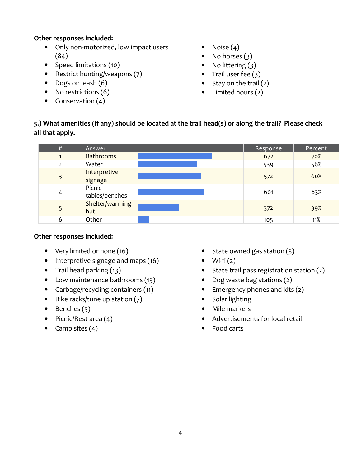#### Other responses included:

- Only non-motorized, low impact users (84)
- Speed limitations (10)
- Restrict hunting/weapons (7)
- Dogs on leash (6)
- No restrictions (6)
- Conservation (4)
- Noise  $(4)$
- No horses  $(3)$
- No littering (3)
- Trail user fee  $(3)$
- Stay on the trail (2)
- Limited hours (2)

#### 5.) What amenities (if any) should be located at the trail head(s) or along the trail? Please check all that apply.

| #             | Answer                   | Response | Percent |
|---------------|--------------------------|----------|---------|
|               | <b>Bathrooms</b>         | 672      | 70%     |
| $\mathcal{P}$ | Water                    | 539      | 56%     |
| 3             | Interpretive<br>signage  | 572      | 60%     |
| 4             | Picnic<br>tables/benches | 601      | 63%     |
|               | Shelter/warming<br>hut   | 372      | 39%     |
| 6             | Other                    | 105      | 11%     |

#### Other responses included:

- Very limited or none (16)
- Interpretive signage and maps (16)
- Trail head parking (13)
- Low maintenance bathrooms (13)
- Garbage/recycling containers (11)
- Bike racks/tune up station (7)
- $\bullet$  Benches  $(5)$
- Picnic/Rest area (4)
- Camp sites  $(4)$
- State owned gas station (3)
- Wi-fi $(2)$
- State trail pass registration station (2)
- Dog waste bag stations (2)
- Emergency phones and kits (2)
- Solar lighting
- Mile markers
- Advertisements for local retail
- Food carts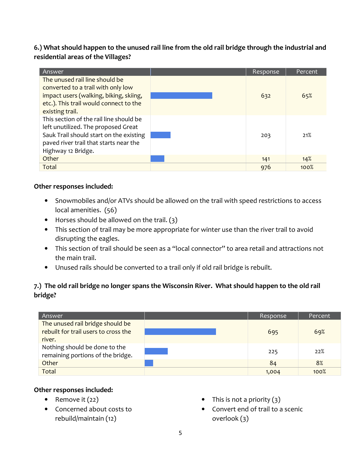#### 6.) What should happen to the unused rail line from the old rail bridge through the industrial and residential areas of the Villages?

| Answer                                  | Response | Percent |
|-----------------------------------------|----------|---------|
| The unused rail line should be          |          |         |
| converted to a trail with only low      |          |         |
| impact users (walking, biking, skiing,  | 632      | 65%     |
| etc.). This trail would connect to the  |          |         |
| existing trail.                         |          |         |
| This section of the rail line should be |          |         |
| left unutilized. The proposed Great     |          |         |
| Sauk Trail should start on the existing | 203      | 21%     |
| paved river trail that starts near the  |          |         |
| Highway 12 Bridge.                      |          |         |
| Other                                   | 141      | 14%     |
| Total                                   | 976      | 100%    |

#### Other responses included:

- Snowmobiles and/or ATVs should be allowed on the trail with speed restrictions to access local amenities. (56)
- Horses should be allowed on the trail.  $(3)$
- This section of trail may be more appropriate for winter use than the river trail to avoid disrupting the eagles.
- This section of trail should be seen as a "local connector" to area retail and attractions not the main trail.
- Unused rails should be converted to a trail only if old rail bridge is rebuilt.

#### 7.) The old rail bridge no longer spans the Wisconsin River. What should happen to the old rail bridge?

| Answer                                                                   | Response | Percent |
|--------------------------------------------------------------------------|----------|---------|
| The unused rail bridge should be<br>rebuilt for trail users to cross the | 695      | 69%     |
| river.                                                                   |          |         |
| Nothing should be done to the<br>remaining portions of the bridge.       | 225      | 22%     |
| Other                                                                    | 84       | 8%      |
| <b>Total</b>                                                             | 1,004    | 100%    |

#### Other responses included:

- Remove it  $(22)$
- Concerned about costs to rebuild/maintain (12)
- This is not a priority  $(3)$
- Convert end of trail to a scenic overlook (3)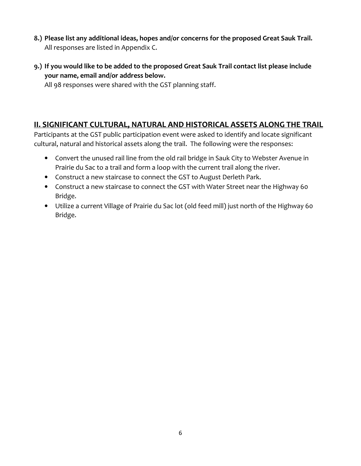- 8.) Please list any additional ideas, hopes and/or concerns for the proposed Great Sauk Trail. All responses are listed in Appendix C.
- 9.) If you would like to be added to the proposed Great Sauk Trail contact list please include your name, email and/or address below.

All 98 responses were shared with the GST planning staff.

## II. SIGNIFICANT CULTURAL, NATURAL AND HISTORICAL ASSETS ALONG THE TRAIL

Participants at the GST public participation event were asked to identify and locate significant cultural, natural and historical assets along the trail. The following were the responses:

- Convert the unused rail line from the old rail bridge in Sauk City to Webster Avenue in Prairie du Sac to a trail and form a loop with the current trail along the river.
- Construct a new staircase to connect the GST to August Derleth Park.
- Construct a new staircase to connect the GST with Water Street near the Highway 60 Bridge.
- Utilize a current Village of Prairie du Sac lot (old feed mill) just north of the Highway 60 Bridge.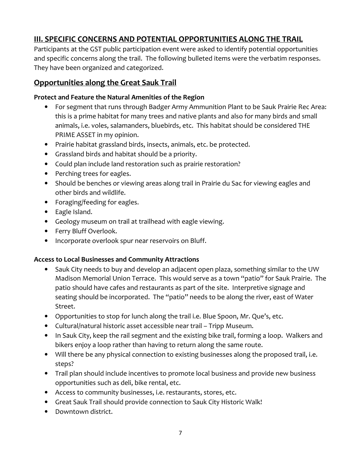# III. SPECIFIC CONCERNS AND POTENTIAL OPPORTUNITIES ALONG THE TRAIL

Participants at the GST public participation event were asked to identify potential opportunities and specific concerns along the trail. The following bulleted items were the verbatim responses. They have been organized and categorized.

# Opportunities along the Great Sauk Trail

#### Protect and Feature the Natural Amenities of the Region

- For segment that runs through Badger Army Ammunition Plant to be Sauk Prairie Rec Area: this is a prime habitat for many trees and native plants and also for many birds and small animals, i.e. voles, salamanders, bluebirds, etc. This habitat should be considered THE PRIME ASSET in my opinion.
- Prairie habitat grassland birds, insects, animals, etc. be protected.
- Grassland birds and habitat should be a priority.
- Could plan include land restoration such as prairie restoration?
- Perching trees for eagles.
- Should be benches or viewing areas along trail in Prairie du Sac for viewing eagles and other birds and wildlife.
- Foraging/feeding for eagles.
- Eagle Island.
- Geology museum on trail at trailhead with eagle viewing.
- Ferry Bluff Overlook.
- Incorporate overlook spur near reservoirs on Bluff.

#### Access to Local Businesses and Community Attractions

- Sauk City needs to buy and develop an adjacent open plaza, something similar to the UW Madison Memorial Union Terrace. This would serve as a town "patio" for Sauk Prairie. The patio should have cafes and restaurants as part of the site. Interpretive signage and seating should be incorporated. The "patio" needs to be along the river, east of Water Street.
- Opportunities to stop for lunch along the trail i.e. Blue Spoon, Mr. Que's, etc.
- Cultural/natural historic asset accessible near trail Tripp Museum.
- In Sauk City, keep the rail segment and the existing bike trail, forming a loop. Walkers and bikers enjoy a loop rather than having to return along the same route.
- Will there be any physical connection to existing businesses along the proposed trail, i.e. steps?
- Trail plan should include incentives to promote local business and provide new business opportunities such as deli, bike rental, etc.
- Access to community businesses, i.e. restaurants, stores, etc.
- Great Sauk Trail should provide connection to Sauk City Historic Walk!
- Downtown district.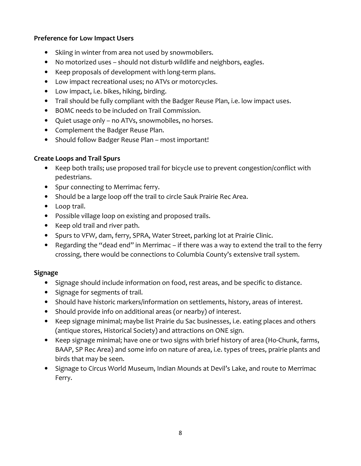#### Preference for Low Impact Users

- Skiing in winter from area not used by snowmobilers.
- No motorized uses should not disturb wildlife and neighbors, eagles.
- Keep proposals of development with long‐term plans.
- Low impact recreational uses; no ATVs or motorcycles.
- Low impact, i.e. bikes, hiking, birding.
- Trail should be fully compliant with the Badger Reuse Plan, i.e. low impact uses.
- BOMC needs to be included on Trail Commission.
- Quiet usage only no ATVs, snowmobiles, no horses.
- Complement the Badger Reuse Plan.
- Should follow Badger Reuse Plan most important!

#### Create Loops and Trail Spurs

- Keep both trails; use proposed trail for bicycle use to prevent congestion/conflict with pedestrians.
- Spur connecting to Merrimac ferry.
- Should be a large loop off the trail to circle Sauk Prairie Rec Area.
- Loop trail.
- Possible village loop on existing and proposed trails.
- Keep old trail and river path.
- Spurs to VFW, dam, ferry, SPRA, Water Street, parking lot at Prairie Clinic.
- Regarding the "dead end" in Merrimac if there was a way to extend the trail to the ferry crossing, there would be connections to Columbia County's extensive trail system.

#### Signage

- Signage should include information on food, rest areas, and be specific to distance.
- Signage for segments of trail.
- Should have historic markers/information on settlements, history, areas of interest.
- Should provide info on additional areas (or nearby) of interest.
- Keep signage minimal; maybe list Prairie du Sac businesses, i.e. eating places and others (antique stores, Historical Society) and attractions on ONE sign.
- Keep signage minimal; have one or two signs with brief history of area (Ho‐Chunk, farms, BAAP, SP Rec Area) and some info on nature of area, i.e. types of trees, prairie plants and birds that may be seen.
- Signage to Circus World Museum, Indian Mounds at Devil's Lake, and route to Merrimac Ferry.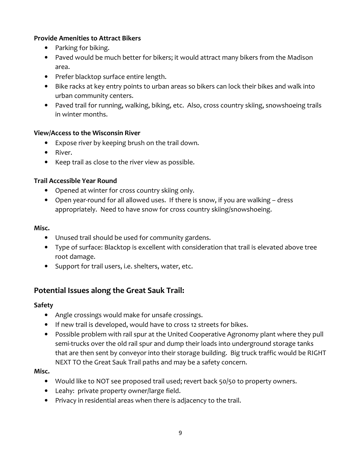#### Provide Amenities to Attract Bikers

- Parking for biking.
- Paved would be much better for bikers; it would attract many bikers from the Madison area.
- Prefer blacktop surface entire length.
- Bike racks at key entry points to urban areas so bikers can lock their bikes and walk into urban community centers.
- Paved trail for running, walking, biking, etc. Also, cross country skiing, snowshoeing trails in winter months.

#### View/Access to the Wisconsin River

- Expose river by keeping brush on the trail down.
- River.
- Keep trail as close to the river view as possible.

#### Trail Accessible Year Round

- Opened at winter for cross country skiing only.
- Open year-round for all allowed uses. If there is snow, if you are walking dress appropriately. Need to have snow for cross country skiing/snowshoeing.

#### Misc.

- Unused trail should be used for community gardens.
- Type of surface: Blacktop is excellent with consideration that trail is elevated above tree root damage.
- Support for trail users, i.e. shelters, water, etc.

# Potential Issues along the Great Sauk Trail:

#### Safety

- Angle crossings would make for unsafe crossings.
- If new trail is developed, would have to cross 12 streets for bikes.
- Possible problem with rail spur at the United Cooperative Agronomy plant where they pull semi-trucks over the old rail spur and dump their loads into underground storage tanks that are then sent by conveyor into their storage building. Big truck traffic would be RIGHT NEXT TO the Great Sauk Trail paths and may be a safety concern.

#### Misc.

- Would like to NOT see proposed trail used; revert back 50/50 to property owners.
- Leahy: private property owner/large field.
- Privacy in residential areas when there is adjacency to the trail.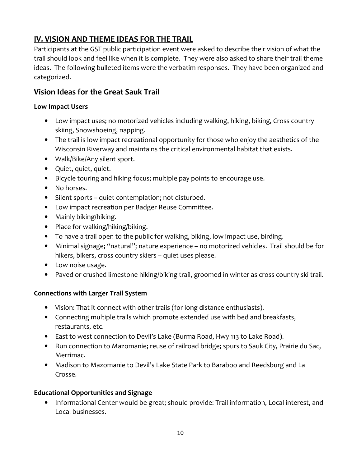# IV. VISION AND THEME IDEAS FOR THE TRAIL

Participants at the GST public participation event were asked to describe their vision of what the trail should look and feel like when it is complete. They were also asked to share their trail theme ideas. The following bulleted items were the verbatim responses. They have been organized and categorized.

# Vision Ideas for the Great Sauk Trail

#### Low Impact Users

- Low impact uses; no motorized vehicles including walking, hiking, biking, Cross country skiing, Snowshoeing, napping.
- The trail is low impact recreational opportunity for those who enjoy the aesthetics of the Wisconsin Riverway and maintains the critical environmental habitat that exists.
- Walk/Bike/Any silent sport.
- Quiet, quiet, quiet.
- Bicycle touring and hiking focus; multiple pay points to encourage use.
- No horses.
- Silent sports quiet contemplation; not disturbed.
- Low impact recreation per Badger Reuse Committee.
- Mainly biking/hiking.
- Place for walking/hiking/biking.
- To have a trail open to the public for walking, biking, low impact use, birding.
- Minimal signage; "natural"; nature experience no motorized vehicles. Trail should be for hikers, bikers, cross country skiers – quiet uses please.
- Low noise usage.
- Paved or crushed limestone hiking/biking trail, groomed in winter as cross country ski trail.

#### Connections with Larger Trail System

- Vision: That it connect with other trails (for long distance enthusiasts).
- Connecting multiple trails which promote extended use with bed and breakfasts, restaurants, etc.
- East to west connection to Devil's Lake (Burma Road, Hwy 113 to Lake Road).
- Run connection to Mazomanie; reuse of railroad bridge; spurs to Sauk City, Prairie du Sac, Merrimac.
- Madison to Mazomanie to Devil's Lake State Park to Baraboo and Reedsburg and La Crosse.

#### Educational Opportunities and Signage

• Informational Center would be great; should provide: Trail information, Local interest, and Local businesses.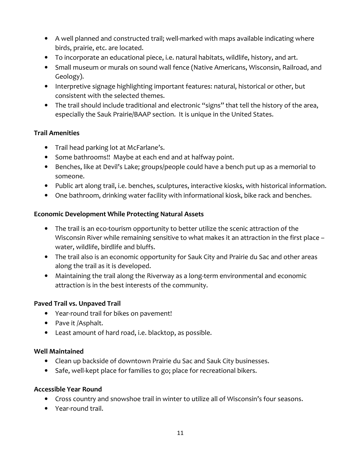- A well planned and constructed trail; well‐marked with maps available indicating where birds, prairie, etc. are located.
- To incorporate an educational piece, i.e. natural habitats, wildlife, history, and art.
- Small museum or murals on sound wall fence (Native Americans, Wisconsin, Railroad, and Geology).
- Interpretive signage highlighting important features: natural, historical or other, but consistent with the selected themes.
- The trail should include traditional and electronic "signs" that tell the history of the area, especially the Sauk Prairie/BAAP section. It is unique in the United States.

#### Trail Amenities

- Trail head parking lot at McFarlane's.
- Some bathrooms!! Maybe at each end and at halfway point.
- Benches, like at Devil's Lake; groups/people could have a bench put up as a memorial to someone.
- Public art along trail, i.e. benches, sculptures, interactive kiosks, with historical information.
- One bathroom, drinking water facility with informational kiosk, bike rack and benches.

#### Economic Development While Protecting Natural Assets

- The trail is an eco-tourism opportunity to better utilize the scenic attraction of the Wisconsin River while remaining sensitive to what makes it an attraction in the first place – water, wildlife, birdlife and bluffs.
- The trail also is an economic opportunity for Sauk City and Prairie du Sac and other areas along the trail as it is developed.
- Maintaining the trail along the Riverway as a long‐term environmental and economic attraction is in the best interests of the community.

#### Paved Trail vs. Unpaved Trail

- Year‐round trail for bikes on pavement!
- Pave it /Asphalt.
- Least amount of hard road, i.e. blacktop, as possible.

#### Well Maintained

- Clean up backside of downtown Prairie du Sac and Sauk City businesses.
- Safe, well-kept place for families to go; place for recreational bikers.

#### Accessible Year Round

- Cross country and snowshoe trail in winter to utilize all of Wisconsin's four seasons.
- Year‐round trail.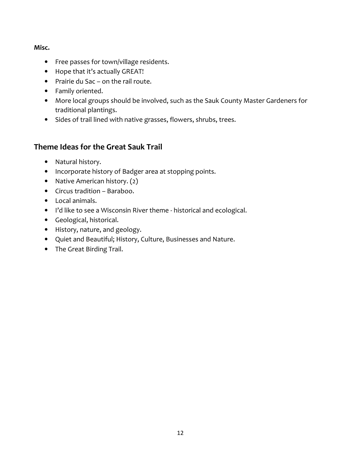#### Misc.

- Free passes for town/village residents.
- Hope that it's actually GREAT!
- Prairie du Sac on the rail route.
- Family oriented.
- More local groups should be involved, such as the Sauk County Master Gardeners for traditional plantings.
- Sides of trail lined with native grasses, flowers, shrubs, trees.

# Theme Ideas for the Great Sauk Trail

- Natural history.
- Incorporate history of Badger area at stopping points.
- Native American history. (2)
- Circus tradition Baraboo.
- Local animals.
- I'd like to see a Wisconsin River theme historical and ecological.
- Geological, historical.
- History, nature, and geology.
- Quiet and Beautiful; History, Culture, Businesses and Nature.
- The Great Birding Trail.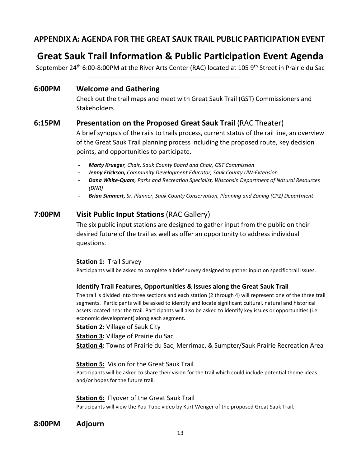# APPENDIX A: AGENDA FOR THE GREAT SAUK TRAIL PUBLIC PARTICIPATION EVENT

# Great Sauk Trail Information & Public Participation Event Agenda

September 24<sup>th</sup> 6:00-8:00PM at the River Arts Center (RAC) located at 105 9<sup>th</sup> Street in Prairie du Sac

#### 6:00PM Welcome and Gathering

Check out the trail maps and meet with Great Sauk Trail (GST) Commissioners and **Stakeholders** 

## 6:15PM Presentation on the Proposed Great Sauk Trail (RAC Theater)

A brief synopsis of the rails to trails process, current status of the rail line, an overview of the Great Sauk Trail planning process including the proposed route, key decision points, and opportunities to participate.

- Marty Krueger, Chair, Sauk County Board and Chair, GST Commission
- Jenny Erickson, Community Development Educator, Sauk County UW-Extension
- Dana White-Quam, Parks and Recreation Specialist, Wisconsin Department of Natural Resources (DNR)
- Brian Simmert, Sr. Planner, Sauk County Conservation, Planning and Zoning (CPZ) Department

# 7:00PM Visit Public Input Stations (RAC Gallery)

The six public input stations are designed to gather input from the public on their desired future of the trail as well as offer an opportunity to address individual questions.

#### Station 1: Trail Survey

Participants will be asked to complete a brief survey designed to gather input on specific trail issues.

#### Identify Trail Features, Opportunities & Issues along the Great Sauk Trail

The trail is divided into three sections and each station (2 through 4) will represent one of the three trail segments. Participants will be asked to identify and locate significant cultural, natural and historical assets located near the trail. Participants will also be asked to identify key issues or opportunities (i.e. economic development) along each segment.

**Station 2: Village of Sauk City** 

**Station 3: Village of Prairie du Sac** 

Station 4: Towns of Prairie du Sac, Merrimac, & Sumpter/Sauk Prairie Recreation Area

#### Station 5: Vision for the Great Sauk Trail

Participants will be asked to share their vision for the trail which could include potential theme ideas and/or hopes for the future trail.

#### Station 6: Flyover of the Great Sauk Trail

Participants will view the You-Tube video by Kurt Wenger of the proposed Great Sauk Trail.

8:00PM Adjourn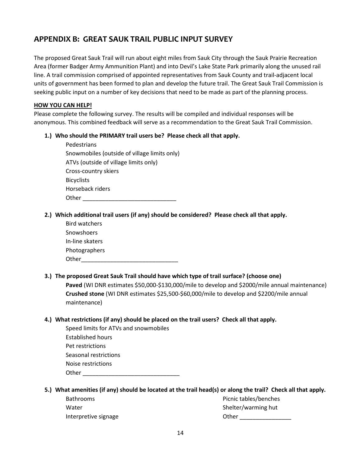# APPENDIX B: GREAT SAUK TRAIL PUBLIC INPUT SURVEY

The proposed Great Sauk Trail will run about eight miles from Sauk City through the Sauk Prairie Recreation Area (former Badger Army Ammunition Plant) and into Devil's Lake State Park primarily along the unused rail line. A trail commission comprised of appointed representatives from Sauk County and trail-adjacent local units of government has been formed to plan and develop the future trail. The Great Sauk Trail Commission is seeking public input on a number of key decisions that need to be made as part of the planning process.

#### HOW YOU CAN HELP!

Please complete the following survey. The results will be compiled and individual responses will be anonymous. This combined feedback will serve as a recommendation to the Great Sauk Trail Commission.

#### 1.) Who should the PRIMARY trail users be? Please check all that apply.

| Pedestrians                                  |
|----------------------------------------------|
| Snowmobiles (outside of village limits only) |
| ATVs (outside of village limits only)        |
| Cross-country skiers                         |
| <b>Bicyclists</b>                            |
| Horseback riders                             |
| Other                                        |

#### 2.) Which additional trail users (if any) should be considered? Please check all that apply.

| <b>Bird watchers</b> |  |
|----------------------|--|
| Snowshoers           |  |
| In-line skaters      |  |
| Photographers        |  |
| Other                |  |

#### 3.) The proposed Great Sauk Trail should have which type of trail surface? (choose one)

Paved (WI DNR estimates \$50,000-\$130,000/mile to develop and \$2000/mile annual maintenance) Crushed stone (WI DNR estimates \$25,500-\$60,000/mile to develop and \$2200/mile annual maintenance)

#### 4.) What restrictions (if any) should be placed on the trail users? Check all that apply.

| Speed limits for ATVs and snowmobiles |
|---------------------------------------|
| Established hours                     |
| Pet restrictions                      |
| Seasonal restrictions                 |
| Noise restrictions                    |
| Other                                 |

#### 5.) What amenities (if any) should be located at the trail head(s) or along the trail? Check all that apply.

| <b>Bathrooms</b>     | Picnic tables/benches |
|----------------------|-----------------------|
| Water                | Shelter/warming hut   |
| Interpretive signage | Other                 |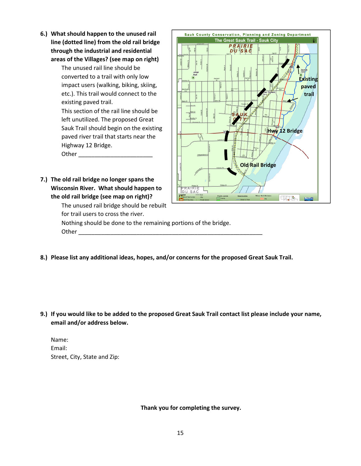6.) What should happen to the unused rail line (dotted line) from the old rail bridge through the industrial and residential areas of the Villages? (see map on right)

> The unused rail line should be converted to a trail with only low impact users (walking, biking, skiing, etc.). This trail would connect to the existing paved trail.

This section of the rail line should be left unutilized. The proposed Great Sauk Trail should begin on the existing paved river trail that starts near the Highway 12 Bridge.

Other \_\_\_\_\_\_\_\_\_\_\_\_\_\_\_\_\_\_\_\_\_\_\_

7.) The old rail bridge no longer spans the Wisconsin River. What should happen to the old rail bridge (see map on right)?

The unused rail bridge should be rebuilt

PRARIE **Existing** paved trail Hwy 12 Bridge Old Rail Bridge SA  $\frac{1}{2}$ 

Sauk County Conservation, Planning and Zoning Department The Great Sauk Trail - Sauk City

for trail users to cross the river. Nothing should be done to the remaining portions of the bridge. Other  $\rule{1em}{0.15mm}$ 

8.) Please list any additional ideas, hopes, and/or concerns for the proposed Great Sauk Trail.

9.) If you would like to be added to the proposed Great Sauk Trail contact list please include your name, email and/or address below.

Name: Email: Street, City, State and Zip:

Thank you for completing the survey.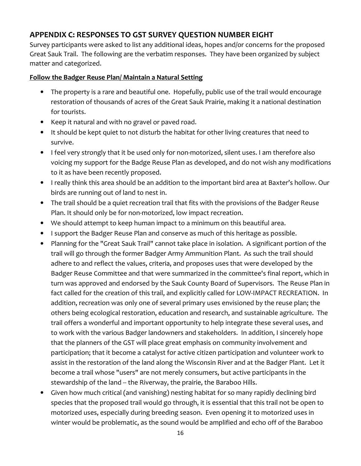# APPENDIX C: RESPONSES TO GST SURVEY QUESTION NUMBER EIGHT

Survey participants were asked to list any additional ideas, hopes and/or concerns for the proposed Great Sauk Trail. The following are the verbatim responses. They have been organized by subject matter and categorized.

#### Follow the Badger Reuse Plan/ Maintain a Natural Setting

- The property is a rare and beautiful one. Hopefully, public use of the trail would encourage restoration of thousands of acres of the Great Sauk Prairie, making it a national destination for tourists.
- Keep it natural and with no gravel or paved road.
- It should be kept quiet to not disturb the habitat for other living creatures that need to survive.
- I feel very strongly that it be used only for non-motorized, silent uses. I am therefore also voicing my support for the Badge Reuse Plan as developed, and do not wish any modifications to it as have been recently proposed.
- I really think this area should be an addition to the important bird area at Baxter's hollow. Our birds are running out of land to nest in.
- The trail should be a quiet recreation trail that fits with the provisions of the Badger Reuse Plan. It should only be for non‐motorized, low impact recreation.
- We should attempt to keep human impact to a minimum on this beautiful area.
- I support the Badger Reuse Plan and conserve as much of this heritage as possible.
- Planning for the "Great Sauk Trail" cannot take place in isolation. A significant portion of the trail will go through the former Badger Army Ammunition Plant. As such the trail should adhere to and reflect the values, criteria, and proposes uses that were developed by the Badger Reuse Committee and that were summarized in the committee's final report, which in turn was approved and endorsed by the Sauk County Board of Supervisors. The Reuse Plan in fact called for the creation of this trail, and explicitly called for LOW-IMPACT RECREATION. In addition, recreation was only one of several primary uses envisioned by the reuse plan; the others being ecological restoration, education and research, and sustainable agriculture. The trail offers a wonderful and important opportunity to help integrate these several uses, and to work with the various Badger landowners and stakeholders. In addition, I sincerely hope that the planners of the GST will place great emphasis on community involvement and participation; that it become a catalyst for active citizen participation and volunteer work to assist in the restoration of the land along the Wisconsin River and at the Badger Plant. Let it become a trail whose "users" are not merely consumers, but active participants in the stewardship of the land -- the Riverway, the prairie, the Baraboo Hills.
- Given how much critical (and vanishing) nesting habitat for so many rapidly declining bird species that the proposed trail would go through, it is essential that this trail not be open to motorized uses, especially during breeding season. Even opening it to motorized uses in winter would be problematic, as the sound would be amplified and echo off of the Baraboo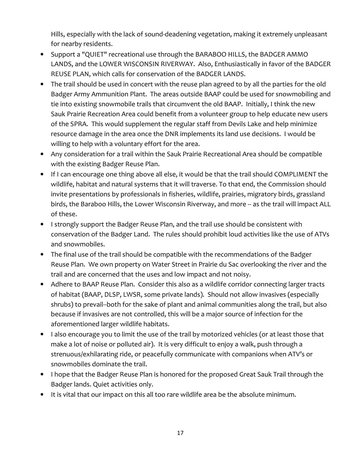Hills, especially with the lack of sound-deadening vegetation, making it extremely unpleasant for nearby residents.

- Support a "QUIET" recreational use through the BARABOO HILLS, the BADGER AMMO LANDS, and the LOWER WISCONSIN RIVERWAY. Also, Enthusiastically in favor of the BADGER REUSE PLAN, which calls for conservation of the BADGER LANDS.
- The trail should be used in concert with the reuse plan agreed to by all the parties for the old Badger Army Ammunition Plant. The areas outside BAAP could be used for snowmobiling and tie into existing snowmobile trails that circumvent the old BAAP. Initially, I think the new Sauk Prairie Recreation Area could benefit from a volunteer group to help educate new users of the SPRA. This would supplement the regular staff from Devils Lake and help minimize resource damage in the area once the DNR implements its land use decisions. I would be willing to help with a voluntary effort for the area.
- Any consideration for a trail within the Sauk Prairie Recreational Area should be compatible with the existing Badger Reuse Plan.
- If I can encourage one thing above all else, it would be that the trail should COMPLIMENT the wildlife, habitat and natural systems that it will traverse. To that end, the Commission should invite presentations by professionals in fisheries, wildlife, prairies, migratory birds, grassland birds, the Baraboo Hills, the Lower Wisconsin Riverway, and more -- as the trail will impact ALL of these.
- I strongly support the Badger Reuse Plan, and the trail use should be consistent with conservation of the Badger Land. The rules should prohibit loud activities like the use of ATVs and snowmobiles.
- The final use of the trail should be compatible with the recommendations of the Badger Reuse Plan. We own property on Water Street in Prairie du Sac overlooking the river and the trail and are concerned that the uses and low impact and not noisy.
- Adhere to BAAP Reuse Plan. Consider this also as a wildlife corridor connecting larger tracts of habitat (BAAP, DLSP, LWSR, some private lands). Should not allow invasives (especially shrubs) to prevail--both for the sake of plant and animal communities along the trail, but also because if invasives are not controlled, this will be a major source of infection for the aforementioned larger wildlife habitats.
- I also encourage you to limit the use of the trail by motorized vehicles (or at least those that make a lot of noise or polluted air). It is very difficult to enjoy a walk, push through a strenuous/exhilarating ride, or peacefully communicate with companions when ATV's or snowmobiles dominate the trail.
- I hope that the Badger Reuse Plan is honored for the proposed Great Sauk Trail through the Badger lands. Quiet activities only.
- It is vital that our impact on this all too rare wildlife area be the absolute minimum.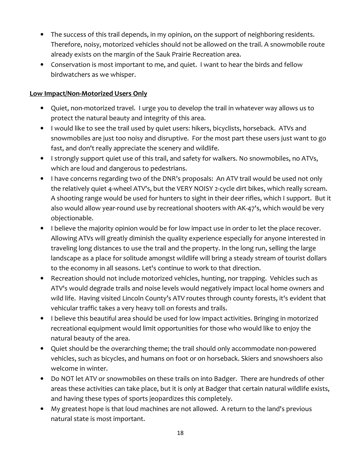- The success of this trail depends, in my opinion, on the support of neighboring residents. Therefore, noisy, motorized vehicles should not be allowed on the trail. A snowmobile route already exists on the margin of the Sauk Prairie Recreation area.
- Conservation is most important to me, and quiet. I want to hear the birds and fellow birdwatchers as we whisper.

#### Low Impact/Non-Motorized Users Only

- Quiet, non‐motorized travel. I urge you to develop the trail in whatever way allows us to protect the natural beauty and integrity of this area.
- I would like to see the trail used by quiet users: hikers, bicyclists, horseback. ATVs and snowmobiles are just too noisy and disruptive. For the most part these users just want to go fast, and don't really appreciate the scenery and wildlife.
- I strongly support quiet use of this trail, and safety for walkers. No snowmobiles, no ATVs, which are loud and dangerous to pedestrians.
- I have concerns regarding two of the DNR's proposals: An ATV trail would be used not only the relatively quiet 4-wheel ATV's, but the VERY NOISY 2-cycle dirt bikes, which really scream. A shooting range would be used for hunters to sight in their deer rifles, which I support. But it also would allow year-round use by recreational shooters with AK-47's, which would be very objectionable.
- I believe the majority opinion would be for low impact use in order to let the place recover. Allowing ATVs will greatly diminish the quality experience especially for anyone interested in traveling long distances to use the trail and the property. In the long run, selling the large landscape as a place for solitude amongst wildlife will bring a steady stream of tourist dollars to the economy in all seasons. Let's continue to work to that direction.
- Recreation should not include motorized vehicles, hunting, nor trapping. Vehicles such as ATV's would degrade trails and noise levels would negatively impact local home owners and wild life. Having visited Lincoln County's ATV routes through county forests, it's evident that vehicular traffic takes a very heavy toll on forests and trails.
- I believe this beautiful area should be used for low impact activities. Bringing in motorized recreational equipment would limit opportunities for those who would like to enjoy the natural beauty of the area.
- Quiet should be the overarching theme; the trail should only accommodate non‐powered vehicles, such as bicycles, and humans on foot or on horseback. Skiers and snowshoers also welcome in winter.
- Do NOT let ATV or snowmobiles on these trails on into Badger. There are hundreds of other areas these activities can take place, but it is only at Badger that certain natural wildlife exists, and having these types of sports jeopardizes this completely.
- My greatest hope is that loud machines are not allowed. A return to the land's previous natural state is most important.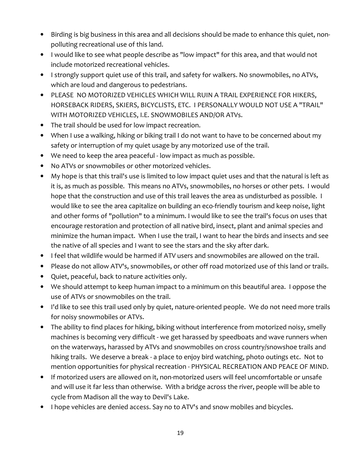- Birding is big business in this area and all decisions should be made to enhance this quiet, non‐ polluting recreational use of this land.
- I would like to see what people describe as "low impact" for this area, and that would not include motorized recreational vehicles.
- I strongly support quiet use of this trail, and safety for walkers. No snowmobiles, no ATVs, which are loud and dangerous to pedestrians.
- PLEASE NO MOTORIZED VEHICLES WHICH WILL RUIN A TRAIL EXPERIENCE FOR HIKERS, HORSEBACK RIDERS, SKIERS, BICYCLISTS, ETC. I PERSONALLY WOULD NOT USE A "TRAIL" WITH MOTORIZED VEHICLES, I.E. SNOWMOBILES AND/OR ATVs.
- The trail should be used for low impact recreation.
- When I use a walking, hiking or biking trail I do not want to have to be concerned about my safety or interruption of my quiet usage by any motorized use of the trail.
- We need to keep the area peaceful low impact as much as possible.
- No ATVs or snowmobiles or other motorized vehicles.
- My hope is that this trail's use is limited to low impact quiet uses and that the natural is left as it is, as much as possible. This means no ATVs, snowmobiles, no horses or other pets. I would hope that the construction and use of this trail leaves the area as undisturbed as possible. I would like to see the area capitalize on building an eco-friendly tourism and keep noise, light and other forms of "pollution" to a minimum. I would like to see the trail's focus on uses that encourage restoration and protection of all native bird, insect, plant and animal species and minimize the human impact. When I use the trail, I want to hear the birds and insects and see the native of all species and I want to see the stars and the sky after dark.
- I feel that wildlife would be harmed if ATV users and snowmobiles are allowed on the trail.
- Please do not allow ATV's, snowmobiles, or other off road motorized use of this land or trails.
- Quiet, peaceful, back to nature activities only.
- We should attempt to keep human impact to a minimum on this beautiful area. I oppose the use of ATVs or snowmobiles on the trail.
- I'd like to see this trail used only by quiet, nature‐oriented people. We do not need more trails for noisy snowmobiles or ATVs.
- The ability to find places for hiking, biking without interference from motorized noisy, smelly machines is becoming very difficult ‐ we get harassed by speedboats and wave runners when on the waterways, harassed by ATVs and snowmobiles on cross country/snowshoe trails and hiking trails. We deserve a break - a place to enjoy bird watching, photo outings etc. Not to mention opportunities for physical recreation ‐ PHYSICAL RECREATION AND PEACE OF MIND.
- If motorized users are allowed on it, non-motorized users will feel uncomfortable or unsafe and will use it far less than otherwise. With a bridge across the river, people will be able to cycle from Madison all the way to Devil's Lake.
- I hope vehicles are denied access. Say no to ATV's and snow mobiles and bicycles.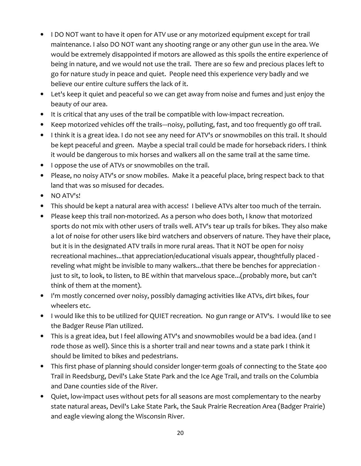- I DO NOT want to have it open for ATV use or any motorized equipment except for trail maintenance. I also DO NOT want any shooting range or any other gun use in the area. We would be extremely disappointed if motors are allowed as this spoils the entire experience of being in nature, and we would not use the trail. There are so few and precious places left to go for nature study in peace and quiet. People need this experience very badly and we believe our entire culture suffers the lack of it.
- Let's keep it quiet and peaceful so we can get away from noise and fumes and just enjoy the beauty of our area.
- It is critical that any uses of the trail be compatible with low-impact recreation.
- Keep motorized vehicles off the trails—noisy, polluting, fast, and too frequently go off trail.
- I think it is a great idea. I do not see any need for ATV's or snowmobiles on this trail. It should be kept peaceful and green. Maybe a special trail could be made for horseback riders. I think it would be dangerous to mix horses and walkers all on the same trail at the same time.
- I oppose the use of ATVs or snowmobiles on the trail.
- Please, no noisy ATV's or snow mobiles. Make it a peaceful place, bring respect back to that land that was so misused for decades.
- NO ATV's!
- This should be kept a natural area with access! I believe ATVs alter too much of the terrain.
- Please keep this trail non-motorized. As a person who does both, I know that motorized sports do not mix with other users of trails well. ATV's tear up trails for bikes. They also make a lot of noise for other users like bird watchers and observers of nature. They have their place, but it is in the designated ATV trails in more rural areas. That it NOT be open for noisy recreational machines...that appreciation/educational visuals appear, thoughtfully placed ‐ reveling what might be invisible to many walkers...that there be benches for appreciation ‐ just to sit, to look, to listen, to BE within that marvelous space...(probably more, but can't think of them at the moment).
- I'm mostly concerned over noisy, possibly damaging activities like ATVs, dirt bikes, four wheelers etc.
- I would like this to be utilized for QUIET recreation. No gun range or ATV's. I would like to see the Badger Reuse Plan utilized.
- This is a great idea, but I feel allowing ATV's and snowmobiles would be a bad idea. (and I rode those as well). Since this is a shorter trail and near towns and a state park I think it should be limited to bikes and pedestrians.
- This first phase of planning should consider longer-term goals of connecting to the State 400 Trail in Reedsburg, Devil's Lake State Park and the Ice Age Trail, and trails on the Columbia and Dane counties side of the River.
- Quiet, low-impact uses without pets for all seasons are most complementary to the nearby state natural areas, Devil's Lake State Park, the Sauk Prairie Recreation Area (Badger Prairie) and eagle viewing along the Wisconsin River.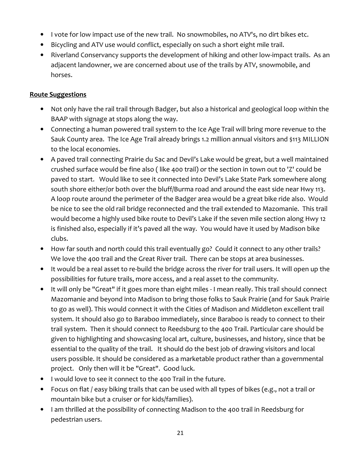- I vote for low impact use of the new trail. No snowmobiles, no ATV's, no dirt bikes etc.
- Bicycling and ATV use would conflict, especially on such a short eight mile trail.
- Riverland Conservancy supports the development of hiking and other low‐impact trails. As an adjacent landowner, we are concerned about use of the trails by ATV, snowmobile, and horses.

#### Route Suggestions

- Not only have the rail trail through Badger, but also a historical and geological loop within the BAAP with signage at stops along the way.
- Connecting a human powered trail system to the Ice Age Trail will bring more revenue to the Sauk County area. The Ice Age Trail already brings 1.2 million annual visitors and \$113 MILLION to the local economies.
- A paved trail connecting Prairie du Sac and Devil's Lake would be great, but a well maintained crushed surface would be fine also ( like 400 trail) or the section in town out to 'Z' could be paved to start. Would like to see it connected into Devil's Lake State Park somewhere along south shore either/or both over the bluff/Burma road and around the east side near Hwy 113. A loop route around the perimeter of the Badger area would be a great bike ride also. Would be nice to see the old rail bridge reconnected and the trail extended to Mazomanie. This trail would become a highly used bike route to Devil's Lake if the seven mile section along Hwy 12 is finished also, especially if it's paved all the way. You would have it used by Madison bike clubs.
- How far south and north could this trail eventually go? Could it connect to any other trails? We love the 400 trail and the Great River trail. There can be stops at area businesses.
- It would be a real asset to re‐build the bridge across the river for trail users. It will open up the possibilities for future trails, more access, and a real asset to the community.
- It will only be "Great" if it goes more than eight miles ‐ I mean really. This trail should connect Mazomanie and beyond into Madison to bring those folks to Sauk Prairie (and for Sauk Prairie to go as well). This would connect it with the Cities of Madison and Middleton excellent trail system. It should also go to Baraboo immediately, since Baraboo is ready to connect to their trail system. Then it should connect to Reedsburg to the 400 Trail. Particular care should be given to highlighting and showcasing local art, culture, businesses, and history, since that be essential to the quality of the trail. It should do the best job of drawing visitors and local users possible. It should be considered as a marketable product rather than a governmental project. Only then will it be "Great". Good luck.
- I would love to see it connect to the 400 Trail in the future.
- Focus on flat / easy biking trails that can be used with all types of bikes (e.g., not a trail or mountain bike but a cruiser or for kids/families).
- I am thrilled at the possibility of connecting Madison to the 400 trail in Reedsburg for pedestrian users.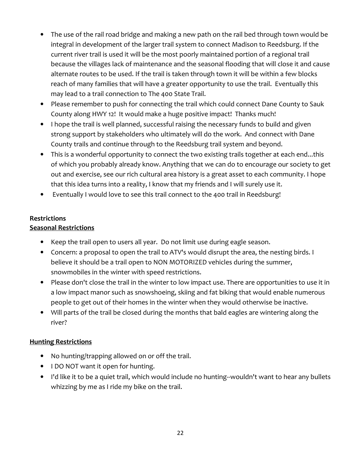- The use of the rail road bridge and making a new path on the rail bed through town would be integral in development of the larger trail system to connect Madison to Reedsburg. If the current river trail is used it will be the most poorly maintained portion of a regional trail because the villages lack of maintenance and the seasonal flooding that will close it and cause alternate routes to be used. If the trail is taken through town it will be within a few blocks reach of many families that will have a greater opportunity to use the trail. Eventually this may lead to a trail connection to The 400 State Trail.
- Please remember to push for connecting the trail which could connect Dane County to Sauk County along HWY 12! It would make a huge positive impact! Thanks much!
- I hope the trail is well planned, successful raising the necessary funds to build and given strong support by stakeholders who ultimately will do the work. And connect with Dane County trails and continue through to the Reedsburg trail system and beyond.
- This is a wonderful opportunity to connect the two existing trails together at each end...this of which you probably already know. Anything that we can do to encourage our society to get out and exercise, see our rich cultural area history is a great asset to each community. I hope that this idea turns into a reality, I know that my friends and I will surely use it.
- Eventually I would love to see this trail connect to the 400 trail in Reedsburg!

#### **Restrictions** Seasonal Restrictions

- Keep the trail open to users all year. Do not limit use during eagle season.
- Concern: a proposal to open the trail to ATV's would disrupt the area, the nesting birds. I believe it should be a trail open to NON MOTORIZED vehicles during the summer, snowmobiles in the winter with speed restrictions.
- Please don't close the trail in the winter to low impact use. There are opportunities to use it in a low impact manor such as snowshoeing, skiing and fat biking that would enable numerous people to get out of their homes in the winter when they would otherwise be inactive.
- Will parts of the trail be closed during the months that bald eagles are wintering along the river?

## Hunting Restrictions

- No hunting/trapping allowed on or off the trail.
- I DO NOT want it open for hunting.
- I'd like it to be a quiet trail, which would include no hunting‐‐wouldn't want to hear any bullets whizzing by me as I ride my bike on the trail.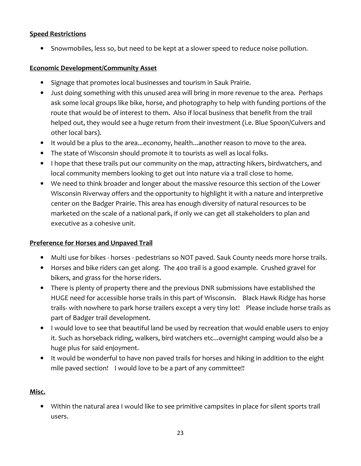#### Speed Restrictions

• Snowmobiles, less so, but need to be kept at a slower speed to reduce noise pollution.

#### Economic Development/Community Asset

- Signage that promotes local businesses and tourism in Sauk Prairie.
- Just doing something with this unused area will bring in more revenue to the area. Perhaps ask some local groups like bike, horse, and photography to help with funding portions of the route that would be of interest to them. Also if local business that benefit from the trail helped out, they would see a huge return from their investment (i.e. Blue Spoon/Culvers and other local bars).
- It would be a plus to the area...economy, health...another reason to move to the area.
- The state of Wisconsin should promote it to tourists as well as local folks.
- I hope that these trails put our community on the map, attracting hikers, birdwatchers, and local community members looking to get out into nature via a trail close to home.
- We need to think broader and longer about the massive resource this section of the Lower Wisconsin Riverway offers and the opportunity to highlight it with a nature and interpretive center on the Badger Prairie. This area has enough diversity of natural resources to be marketed on the scale of a national park, if only we can get all stakeholders to plan and executive as a cohesive unit.

#### Preference for Horses and Unpaved Trail

- Multi use for bikes horses pedestrians so NOT paved. Sauk County needs more horse trails.
- Horses and bike riders can get along. The 400 trail is a good example. Crushed gravel for bikers, and grass for the horse riders.
- There is plenty of property there and the previous DNR submissions have established the HUGE need for accessible horse trails in this part of Wisconsin. Black Hawk Ridge has horse trails- with nowhere to park horse trailers except a very tiny lot! Please include horse trails as part of Badger trail development.
- I would love to see that beautiful land be used by recreation that would enable users to enjoy it. Such as horseback riding, walkers, bird watchers etc...overnight camping would also be a huge plus for said enjoyment.
- It would be wonderful to have non paved trails for horses and hiking in addition to the eight mile paved section! I would love to be a part of any committee!!

#### Misc.

• Within the natural area I would like to see primitive campsites in place for silent sports trail users.